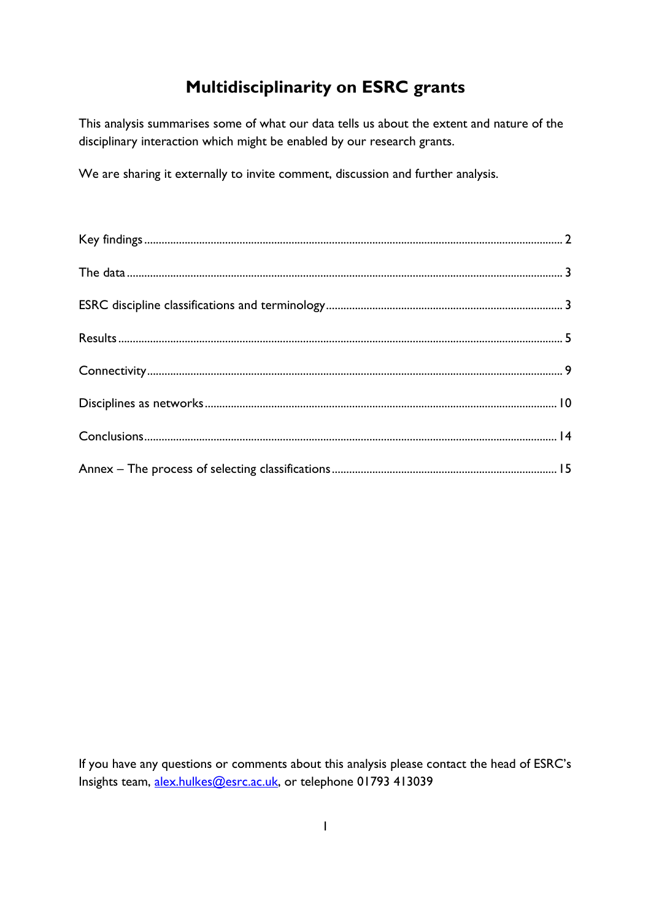# **Multidisciplinarity on ESRC grants**

This analysis summarises some of what our data tells us about the extent and nature of the disciplinary interaction which might be enabled by our research grants.

We are sharing it externally to invite comment, discussion and further analysis.

If you have any questions or comments about this analysis please contact the head of ESRC's Insights team, [alex.hulkes@esrc.ac.uk,](mailto:alex.hulkes@esrc.ac.uk) or telephone 01793 413039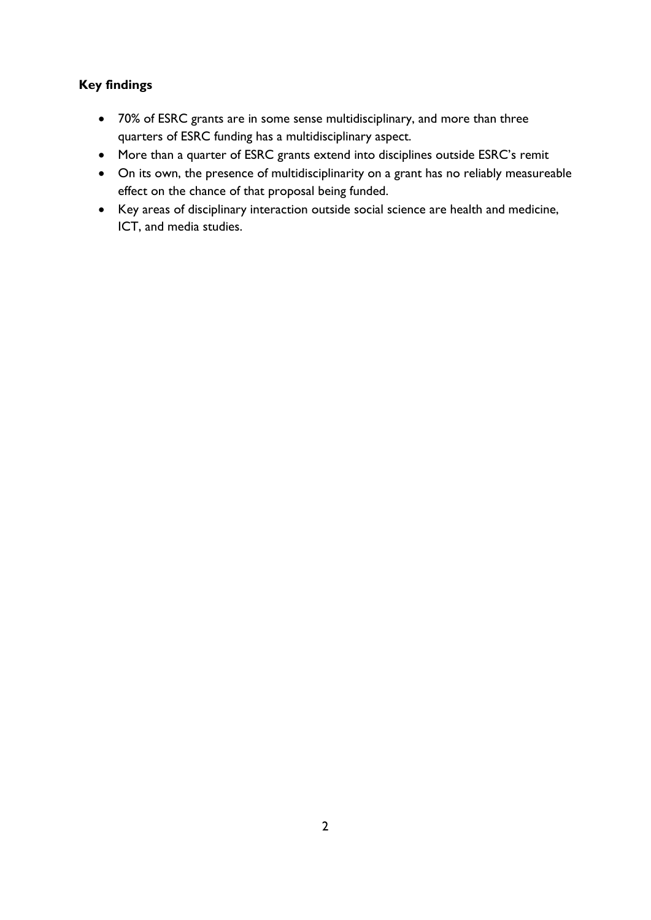# <span id="page-1-0"></span>**Key findings**

- 70% of ESRC grants are in some sense multidisciplinary, and more than three quarters of ESRC funding has a multidisciplinary aspect.
- More than a quarter of ESRC grants extend into disciplines outside ESRC's remit
- On its own, the presence of multidisciplinarity on a grant has no reliably measureable effect on the chance of that proposal being funded.
- Key areas of disciplinary interaction outside social science are health and medicine, ICT, and media studies.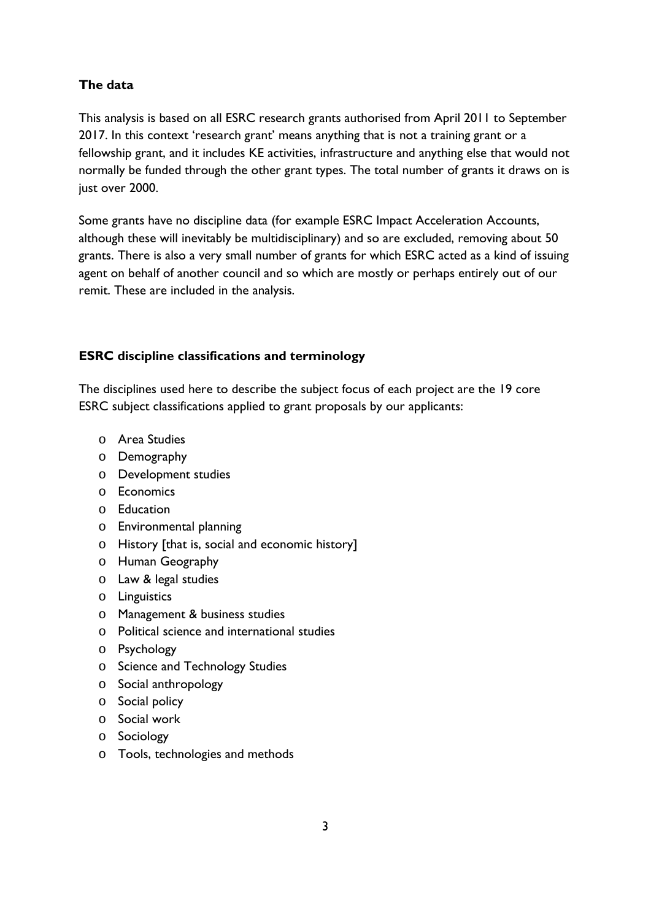# <span id="page-2-0"></span>**The data**

This analysis is based on all ESRC research grants authorised from April 2011 to September 2017. In this context 'research grant' means anything that is not a training grant or a fellowship grant, and it includes KE activities, infrastructure and anything else that would not normally be funded through the other grant types. The total number of grants it draws on is just over 2000.

Some grants have no discipline data (for example ESRC Impact Acceleration Accounts, although these will inevitably be multidisciplinary) and so are excluded, removing about 50 grants. There is also a very small number of grants for which ESRC acted as a kind of issuing agent on behalf of another council and so which are mostly or perhaps entirely out of our remit. These are included in the analysis.

# <span id="page-2-1"></span>**ESRC discipline classifications and terminology**

The disciplines used here to describe the subject focus of each project are the 19 core ESRC subject classifications applied to grant proposals by our applicants:

- o Area Studies
- o Demography
- o Development studies
- o Economics
- o Education
- o Environmental planning
- o History [that is, social and economic history]
- o Human Geography
- o Law & legal studies
- o Linguistics
- o Management & business studies
- o Political science and international studies
- o Psychology
- o Science and Technology Studies
- o Social anthropology
- o Social policy
- o Social work
- o Sociology
- o Tools, technologies and methods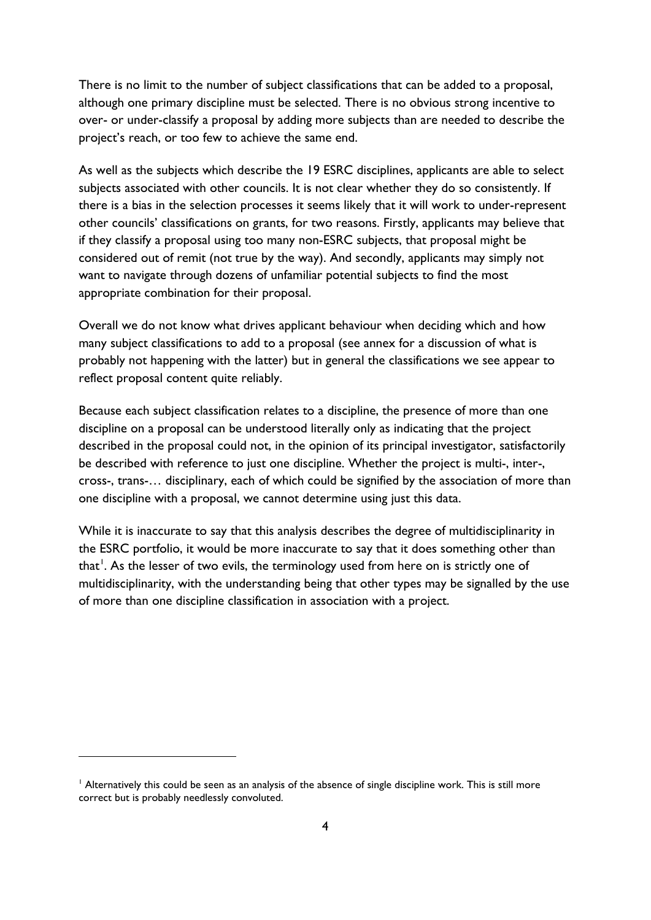There is no limit to the number of subject classifications that can be added to a proposal, although one primary discipline must be selected. There is no obvious strong incentive to over- or under-classify a proposal by adding more subjects than are needed to describe the project's reach, or too few to achieve the same end.

As well as the subjects which describe the 19 ESRC disciplines, applicants are able to select subjects associated with other councils. It is not clear whether they do so consistently. If there is a bias in the selection processes it seems likely that it will work to under-represent other councils' classifications on grants, for two reasons. Firstly, applicants may believe that if they classify a proposal using too many non-ESRC subjects, that proposal might be considered out of remit (not true by the way). And secondly, applicants may simply not want to navigate through dozens of unfamiliar potential subjects to find the most appropriate combination for their proposal.

Overall we do not know what drives applicant behaviour when deciding which and how many subject classifications to add to a proposal (see annex for a discussion of what is probably not happening with the latter) but in general the classifications we see appear to reflect proposal content quite reliably.

Because each subject classification relates to a discipline, the presence of more than one discipline on a proposal can be understood literally only as indicating that the project described in the proposal could not, in the opinion of its principal investigator, satisfactorily be described with reference to just one discipline. Whether the project is multi-, inter-, cross-, trans-… disciplinary, each of which could be signified by the association of more than one discipline with a proposal, we cannot determine using just this data.

While it is inaccurate to say that this analysis describes the degree of multidisciplinarity in the ESRC portfolio, it would be more inaccurate to say that it does something other than that<sup>[1](#page-3-0)</sup>. As the lesser of two evils, the terminology used from here on is strictly one of multidisciplinarity, with the understanding being that other types may be signalled by the use of more than one discipline classification in association with a project.

-

<span id="page-3-0"></span><sup>&</sup>lt;sup>1</sup> Alternatively this could be seen as an analysis of the absence of single discipline work. This is still more correct but is probably needlessly convoluted.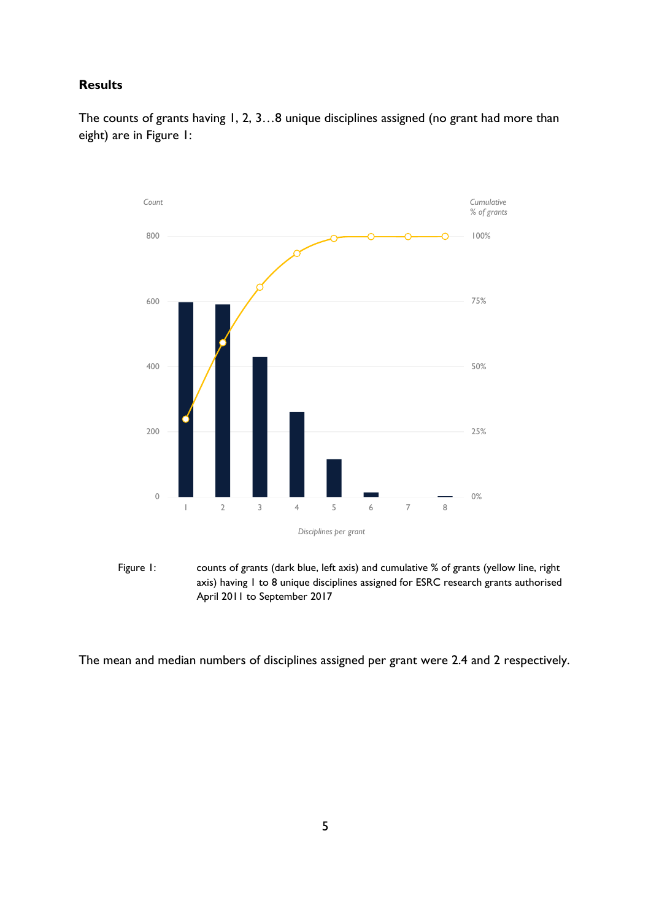## <span id="page-4-0"></span>**Results**

The counts of grants having 1, 2, 3...8 unique disciplines assigned (no grant had more than eight) are in Figure 1:



Figure 1: counts of grants (dark blue, left axis) and cumulative % of grants (yellow line, right axis) having 1 to 8 unique disciplines assigned for ESRC research grants authorised April 2011 to September 2017

The mean and median numbers of disciplines assigned per grant were 2.4 and 2 respectively.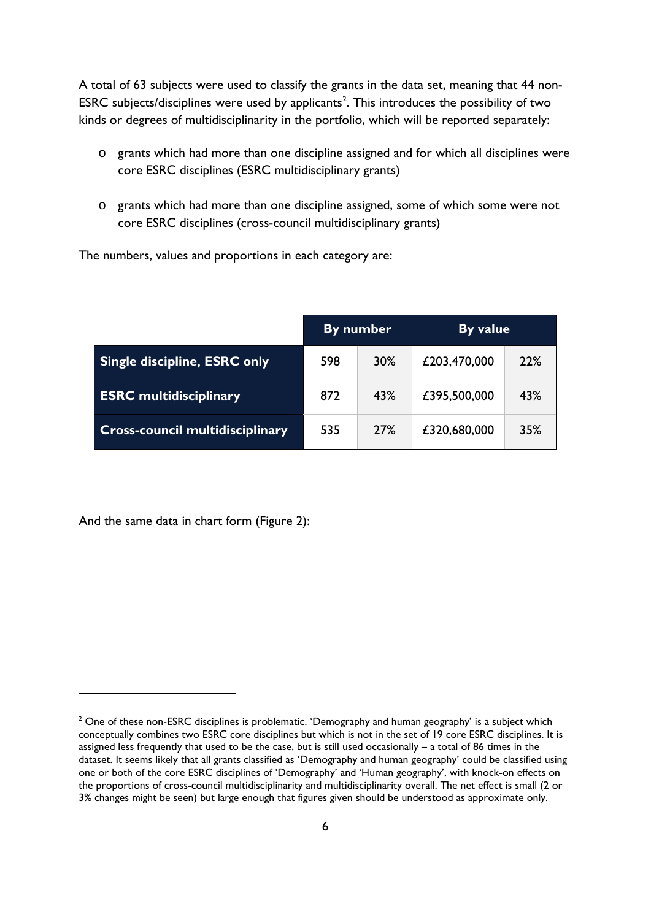A total of 63 subjects were used to classify the grants in the data set, meaning that 44 non-ESRC subjects/disciplines were used by applicants<sup>[2](#page-5-0)</sup>. This introduces the possibility of two kinds or degrees of multidisciplinarity in the portfolio, which will be reported separately:

- o grants which had more than one discipline assigned and for which all disciplines were core ESRC disciplines (ESRC multidisciplinary grants)
- o grants which had more than one discipline assigned, some of which some were not core ESRC disciplines (cross-council multidisciplinary grants)

The numbers, values and proportions in each category are:

|                                        | By number |     | By value     |     |
|----------------------------------------|-----------|-----|--------------|-----|
| <b>Single discipline, ESRC only</b>    | 598       | 30% | £203,470,000 | 22% |
| <b>ESRC</b> multidisciplinary          | 872       | 43% | £395,500,000 | 43% |
| <b>Cross-council multidisciplinary</b> | 535       | 27% | £320,680,000 | 35% |

And the same data in chart form (Figure 2):

<u>.</u>

<span id="page-5-0"></span> $2$  One of these non-ESRC disciplines is problematic. 'Demography and human geography' is a subject which conceptually combines two ESRC core disciplines but which is not in the set of 19 core ESRC disciplines. It is assigned less frequently that used to be the case, but is still used occasionally – a total of 86 times in the dataset. It seems likely that all grants classified as 'Demography and human geography' could be classified using one or both of the core ESRC disciplines of 'Demography' and 'Human geography', with knock-on effects on the proportions of cross-council multidisciplinarity and multidisciplinarity overall. The net effect is small (2 or 3% changes might be seen) but large enough that figures given should be understood as approximate only.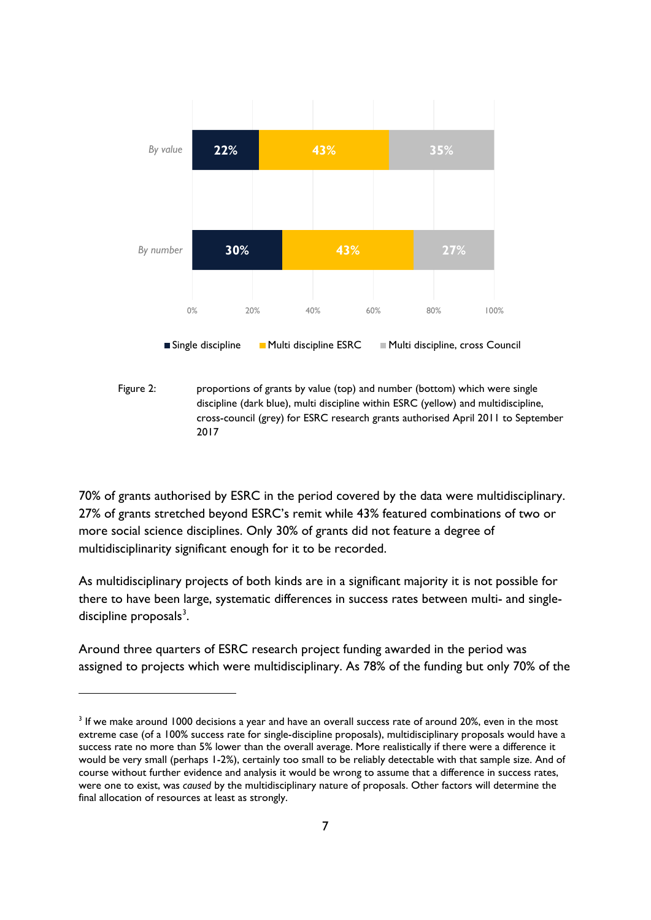

Figure 2: proportions of grants by value (top) and number (bottom) which were single discipline (dark blue), multi discipline within ESRC (yellow) and multidiscipline, cross-council (grey) for ESRC research grants authorised April 2011 to September 2017

70% of grants authorised by ESRC in the period covered by the data were multidisciplinary. 27% of grants stretched beyond ESRC's remit while 43% featured combinations of two or more social science disciplines. Only 30% of grants did not feature a degree of multidisciplinarity significant enough for it to be recorded.

As multidisciplinary projects of both kinds are in a significant majority it is not possible for there to have been large, systematic differences in success rates between multi- and single-discipline proposals<sup>[3](#page-6-0)</sup>.

Around three quarters of ESRC research project funding awarded in the period was assigned to projects which were multidisciplinary. As 78% of the funding but only 70% of the

<u>.</u>

<span id="page-6-0"></span><sup>&</sup>lt;sup>3</sup> If we make around 1000 decisions a year and have an overall success rate of around 20%, even in the most extreme case (of a 100% success rate for single-discipline proposals), multidisciplinary proposals would have a success rate no more than 5% lower than the overall average. More realistically if there were a difference it would be very small (perhaps 1-2%), certainly too small to be reliably detectable with that sample size. And of course without further evidence and analysis it would be wrong to assume that a difference in success rates, were one to exist, was *caused* by the multidisciplinary nature of proposals. Other factors will determine the final allocation of resources at least as strongly.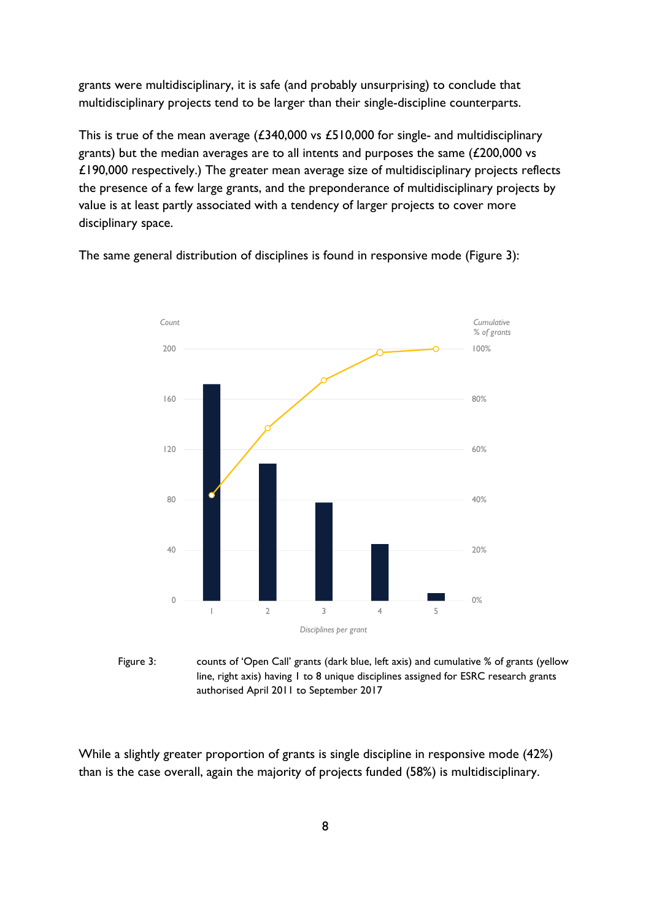grants were multidisciplinary, it is safe (and probably unsurprising) to conclude that multidisciplinary projects tend to be larger than their single-discipline counterparts.

This is true of the mean average (£340,000 vs £510,000 for single- and multidisciplinary grants) but the median averages are to all intents and purposes the same (£200,000 vs £190,000 respectively.) The greater mean average size of multidisciplinary projects reflects the presence of a few large grants, and the preponderance of multidisciplinary projects by value is at least partly associated with a tendency of larger projects to cover more disciplinary space.

> 0% 20% 40% 60% 80% 100% 0 40 80 120 160 200 1 2 3 4 5 *Cumulative % of grants Count Disciplines per grant*

The same general distribution of disciplines is found in responsive mode (Figure 3):

Figure 3: counts of 'Open Call' grants (dark blue, left axis) and cumulative % of grants (yellow line, right axis) having 1 to 8 unique disciplines assigned for ESRC research grants authorised April 2011 to September 2017

While a slightly greater proportion of grants is single discipline in responsive mode (42%) than is the case overall, again the majority of projects funded (58%) is multidisciplinary.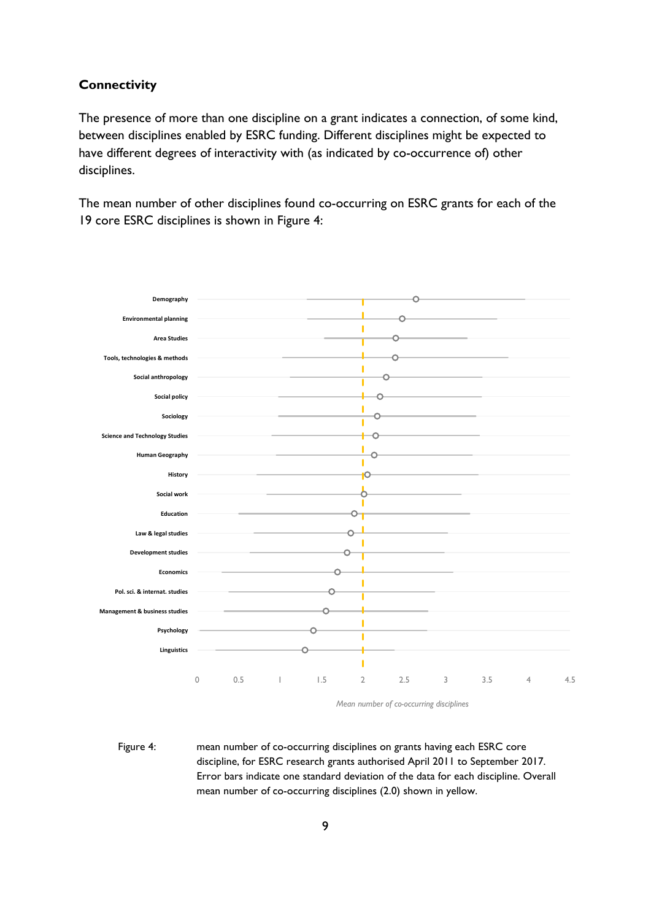#### <span id="page-8-0"></span>**Connectivity**

The presence of more than one discipline on a grant indicates a connection, of some kind, between disciplines enabled by ESRC funding. Different disciplines might be expected to have different degrees of interactivity with (as indicated by co-occurrence of) other disciplines.

The mean number of other disciplines found co-occurring on ESRC grants for each of the 19 core ESRC disciplines is shown in Figure 4:



*Mean number of co-occurring disciplines*

Figure 4: mean number of co-occurring disciplines on grants having each ESRC core discipline, for ESRC research grants authorised April 2011 to September 2017. Error bars indicate one standard deviation of the data for each discipline. Overall mean number of co-occurring disciplines (2.0) shown in yellow.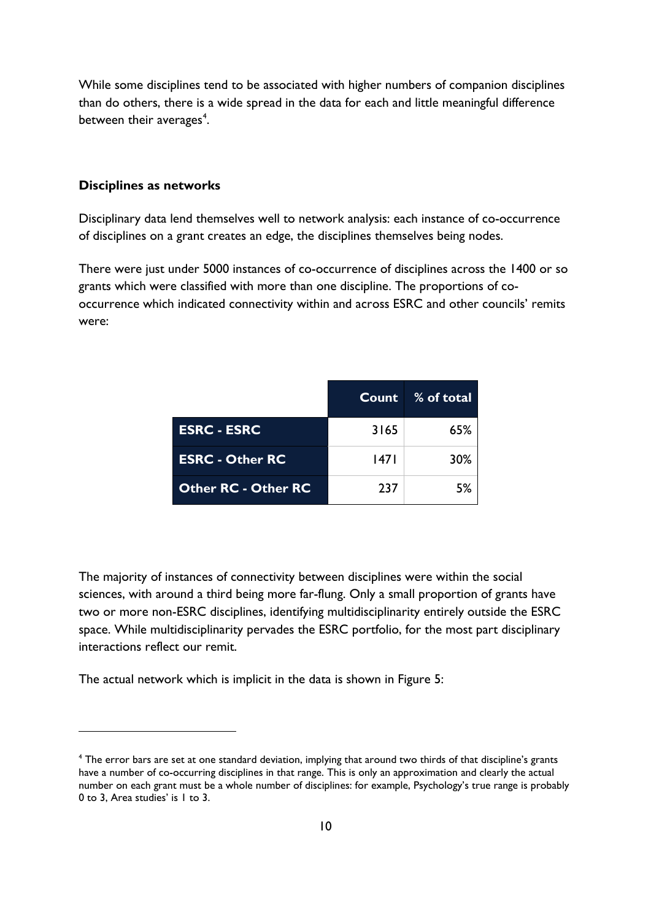While some disciplines tend to be associated with higher numbers of companion disciplines than do others, there is a wide spread in the data for each and little meaningful difference between their averages<sup>[4](#page-9-1)</sup>.

#### <span id="page-9-0"></span>**Disciplines as networks**

<u>.</u>

Disciplinary data lend themselves well to network analysis: each instance of co-occurrence of disciplines on a grant creates an edge, the disciplines themselves being nodes.

There were just under 5000 instances of co-occurrence of disciplines across the 1400 or so grants which were classified with more than one discipline. The proportions of cooccurrence which indicated connectivity within and across ESRC and other councils' remits were:

|                            |      | Count % of total |
|----------------------------|------|------------------|
| <b>ESRC - ESRC</b>         | 3165 | 65%              |
| <b>ESRC - Other RC</b>     | 47   | 30%              |
| <b>Other RC - Other RC</b> | 237  | 5%               |

The majority of instances of connectivity between disciplines were within the social sciences, with around a third being more far-flung. Only a small proportion of grants have two or more non-ESRC disciplines, identifying multidisciplinarity entirely outside the ESRC space. While multidisciplinarity pervades the ESRC portfolio, for the most part disciplinary interactions reflect our remit.

The actual network which is implicit in the data is shown in Figure 5:

<span id="page-9-1"></span><sup>4</sup> The error bars are set at one standard deviation, implying that around two thirds of that discipline's grants have a number of co-occurring disciplines in that range. This is only an approximation and clearly the actual number on each grant must be a whole number of disciplines: for example, Psychology's true range is probably 0 to 3, Area studies' is 1 to 3.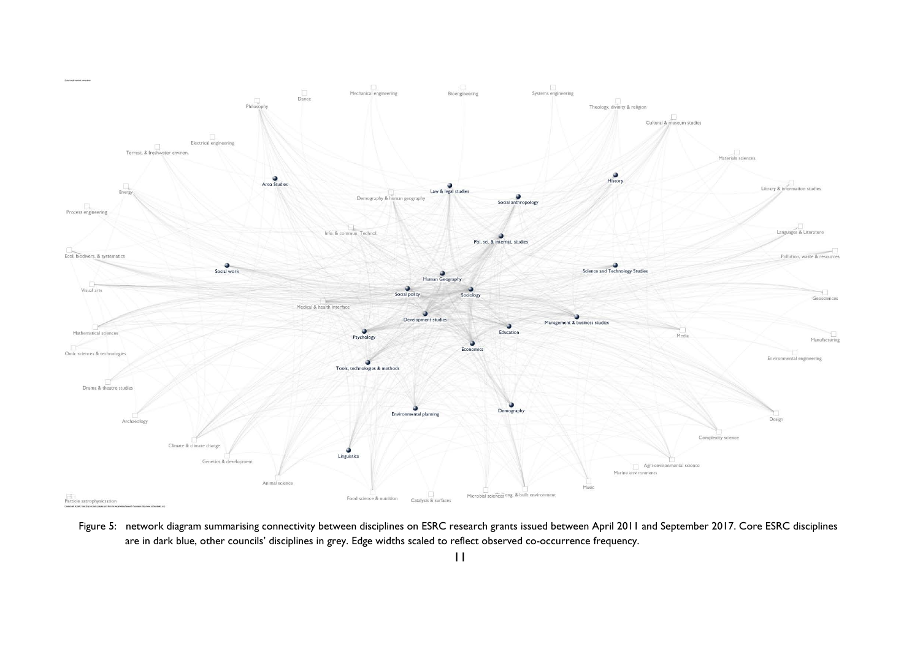

Figure 5: network diagram summarising connectivity between disciplines on ESRC research grants issued between April 2011 and September 2017. Core ESRC disciplines are in dark blue, other councils' disciplines in grey. Edge widths scaled to reflect observed co-occurrence frequency.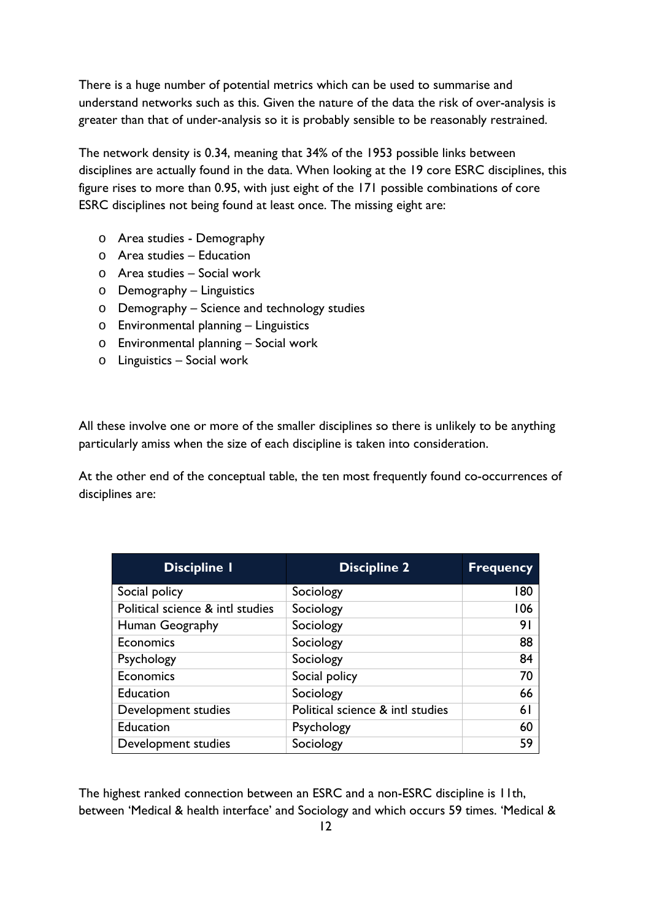There is a huge number of potential metrics which can be used to summarise and understand networks such as this. Given the nature of the data the risk of over-analysis is greater than that of under-analysis so it is probably sensible to be reasonably restrained.

The network density is 0.34, meaning that 34% of the 1953 possible links between disciplines are actually found in the data. When looking at the 19 core ESRC disciplines, this figure rises to more than 0.95, with just eight of the 171 possible combinations of core ESRC disciplines not being found at least once. The missing eight are:

- o Area studies Demography
- o Area studies Education
- o Area studies Social work
- o Demography Linguistics
- o Demography Science and technology studies
- o Environmental planning Linguistics
- o Environmental planning Social work
- o Linguistics Social work

All these involve one or more of the smaller disciplines so there is unlikely to be anything particularly amiss when the size of each discipline is taken into consideration.

At the other end of the conceptual table, the ten most frequently found co-occurrences of disciplines are:

| <b>Discipline I</b>              | <b>Discipline 2</b>              | <b>Frequency</b> |
|----------------------------------|----------------------------------|------------------|
| Social policy                    | Sociology                        | 180              |
| Political science & intl studies | Sociology                        | 106              |
| Human Geography                  | Sociology                        | 91               |
| Economics                        | Sociology                        | 88               |
| Psychology                       | Sociology                        | 84               |
| Economics                        | Social policy                    | 70               |
| <b>Education</b>                 | Sociology                        | 66               |
| Development studies              | Political science & intl studies | 6 I              |
| Education                        | Psychology                       | 60               |
| Development studies              | Sociology                        | 59               |

The highest ranked connection between an ESRC and a non-ESRC discipline is 11th, between 'Medical & health interface' and Sociology and which occurs 59 times. 'Medical &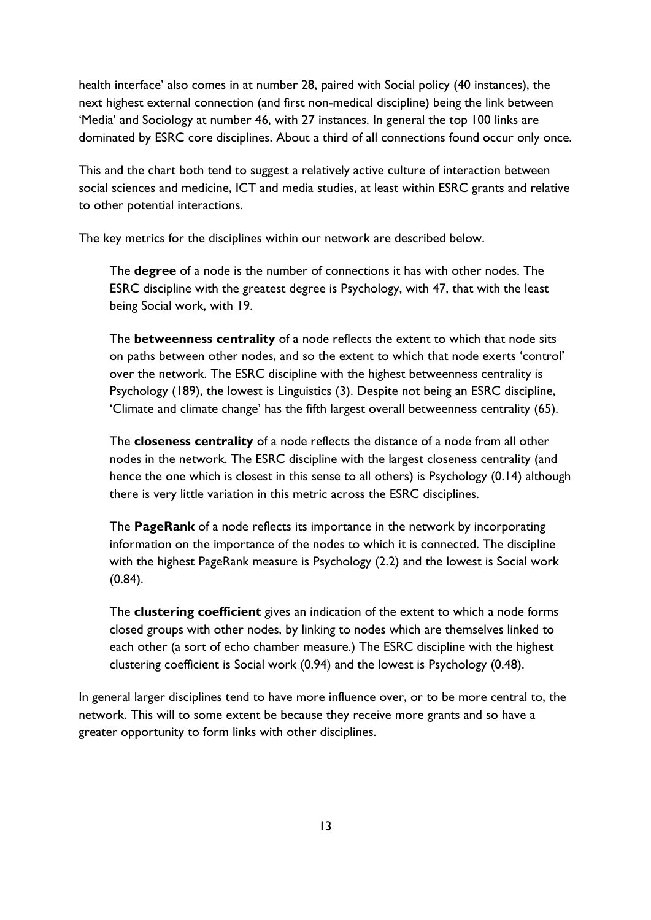health interface' also comes in at number 28, paired with Social policy (40 instances), the next highest external connection (and first non-medical discipline) being the link between 'Media' and Sociology at number 46, with 27 instances. In general the top 100 links are dominated by ESRC core disciplines. About a third of all connections found occur only once.

This and the chart both tend to suggest a relatively active culture of interaction between social sciences and medicine, ICT and media studies, at least within ESRC grants and relative to other potential interactions.

The key metrics for the disciplines within our network are described below.

The **degree** of a node is the number of connections it has with other nodes. The ESRC discipline with the greatest degree is Psychology, with 47, that with the least being Social work, with 19.

The **betweenness centrality** of a node reflects the extent to which that node sits on paths between other nodes, and so the extent to which that node exerts 'control' over the network. The ESRC discipline with the highest betweenness centrality is Psychology (189), the lowest is Linguistics (3). Despite not being an ESRC discipline, 'Climate and climate change' has the fifth largest overall betweenness centrality (65).

The **closeness centrality** of a node reflects the distance of a node from all other nodes in the network. The ESRC discipline with the largest closeness centrality (and hence the one which is closest in this sense to all others) is Psychology (0.14) although there is very little variation in this metric across the ESRC disciplines.

The **PageRank** of a node reflects its importance in the network by incorporating information on the importance of the nodes to which it is connected. The discipline with the highest PageRank measure is Psychology (2.2) and the lowest is Social work (0.84).

The **clustering coefficient** gives an indication of the extent to which a node forms closed groups with other nodes, by linking to nodes which are themselves linked to each other (a sort of echo chamber measure.) The ESRC discipline with the highest clustering coefficient is Social work (0.94) and the lowest is Psychology (0.48).

In general larger disciplines tend to have more influence over, or to be more central to, the network. This will to some extent be because they receive more grants and so have a greater opportunity to form links with other disciplines.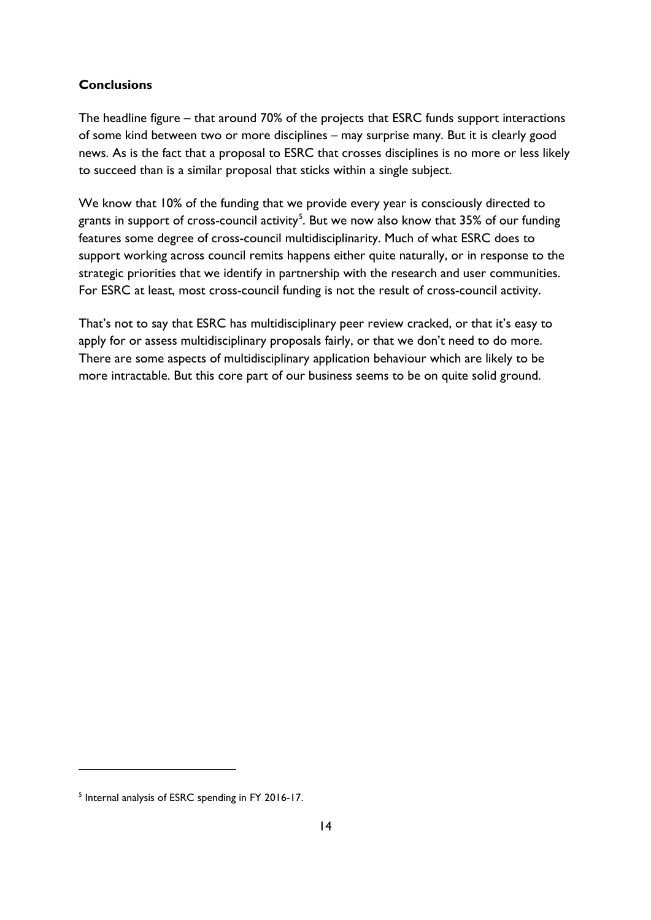## <span id="page-13-0"></span>**Conclusions**

The headline figure – that around 70% of the projects that ESRC funds support interactions of some kind between two or more disciplines – may surprise many. But it is clearly good news. As is the fact that a proposal to ESRC that crosses disciplines is no more or less likely to succeed than is a similar proposal that sticks within a single subject.

We know that 10% of the funding that we provide every year is consciously directed to grants in support of cross-council activity $^5$  $^5$ . But we now also know that 35% of our funding features some degree of cross-council multidisciplinarity. Much of what ESRC does to support working across council remits happens either quite naturally, or in response to the strategic priorities that we identify in partnership with the research and user communities. For ESRC at least, most cross-council funding is not the result of cross-council activity.

That's not to say that ESRC has multidisciplinary peer review cracked, or that it's easy to apply for or assess multidisciplinary proposals fairly, or that we don't need to do more. There are some aspects of multidisciplinary application behaviour which are likely to be more intractable. But this core part of our business seems to be on quite solid ground.

-

<span id="page-13-1"></span><sup>&</sup>lt;sup>5</sup> Internal analysis of ESRC spending in FY 2016-17.